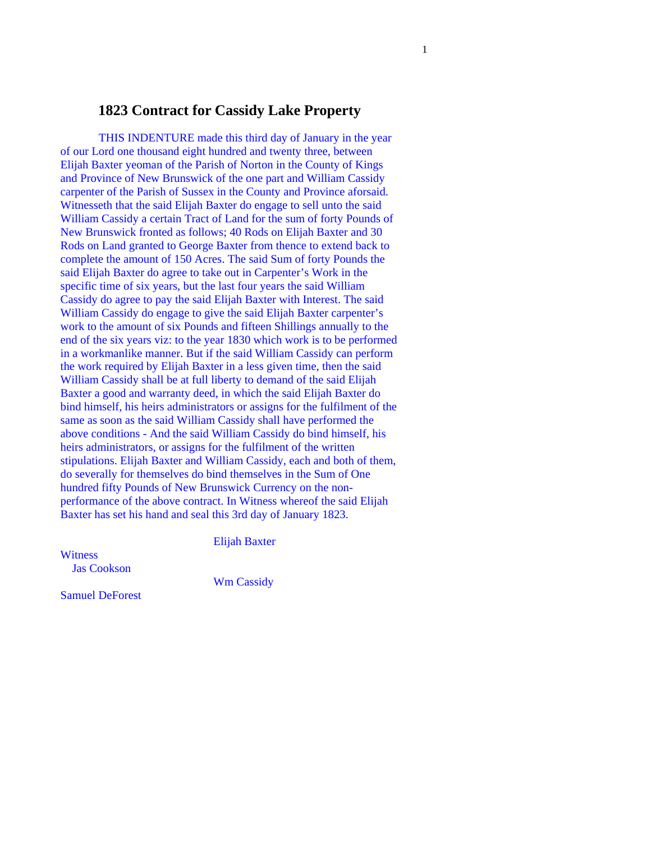## **1823 Contract for Cassidy Lake Property**

 THIS INDENTURE made this third day of January in the year of our Lord one thousand eight hundred and twenty three, between Elijah Baxter yeoman of the Parish of Norton in the County of Kings and Province of New Brunswick of the one part and William Cassidy carpenter of the Parish of Sussex in the County and Province aforsaid. Witnesseth that the said Elijah Baxter do engage to sell unto the said William Cassidy a certain Tract of Land for the sum of forty Pounds of New Brunswick fronted as follows; 40 Rods on Elijah Baxter and 30 Rods on Land granted to George Baxter from thence to extend back to complete the amount of 150 Acres. The said Sum of forty Pounds the said Elijah Baxter do agree to take out in Carpenter's Work in the specific time of six years, but the last four years the said William Cassidy do agree to pay the said Elijah Baxter with Interest. The said William Cassidy do engage to give the said Elijah Baxter carpenter's work to the amount of six Pounds and fifteen Shillings annually to the end of the six years viz: to the year 1830 which work is to be performed in a workmanlike manner. But if the said William Cassidy can perform the work required by Elijah Baxter in a less given time, then the said William Cassidy shall be at full liberty to demand of the said Elijah Baxter a good and warranty deed, in which the said Elijah Baxter do bind himself, his heirs administrators or assigns for the fulfilment of the same as soon as the said William Cassidy shall have performed the above conditions - And the said William Cassidy do bind himself, his heirs administrators, or assigns for the fulfilment of the written stipulations. Elijah Baxter and William Cassidy, each and both of them, do severally for themselves do bind themselves in the Sum of One hundred fifty Pounds of New Brunswick Currency on the nonperformance of the above contract. In Witness whereof the said Elijah Baxter has set his hand and seal this 3rd day of January 1823.

Elijah Baxter

**Witness** Jas Cookson

Wm Cassidy

Samuel DeForest